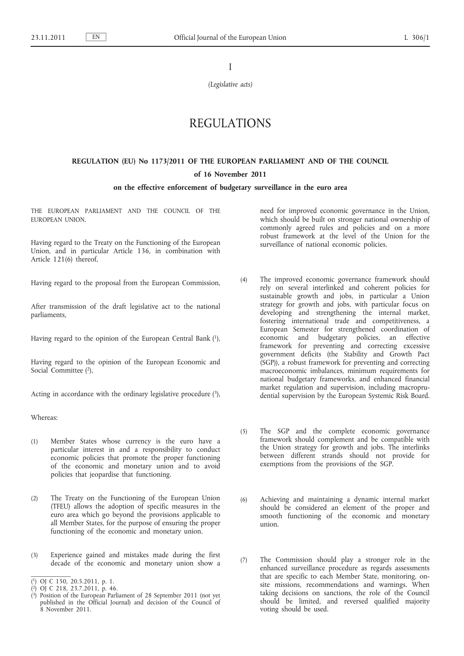I

*(Legislative acts)*

# REGULATIONS

## **REGULATION (EU) No 1173/2011 OF THE EUROPEAN PARLIAMENT AND OF THE COUNCIL of 16 November 2011**

#### **on the effective enforcement of budgetary surveillance in the euro area**

THE EUROPEAN PARLIAMENT AND THE COUNCIL OF THE EUROPEAN UNION,

Having regard to the Treaty on the Functioning of the European Union, and in particular Article 136, in combination with Article 121(6) thereof,

Having regard to the proposal from the European Commission,

After transmission of the draft legislative act to the national parliaments,

Having regard to the opinion of the European Central Bank (1),

Having regard to the opinion of the European Economic and Social Committee (2),

Acting in accordance with the ordinary legislative procedure  $(3)$ ,

Whereas:

- (1) Member States whose currency is the euro have a particular interest in and a responsibility to conduct economic policies that promote the proper functioning of the economic and monetary union and to avoid policies that jeopardise that functioning.
- (2) The Treaty on the Functioning of the European Union (TFEU) allows the adoption of specific measures in the euro area which go beyond the provisions applicable to all Member States, for the purpose of ensuring the proper functioning of the economic and monetary union.
- (3) Experience gained and mistakes made during the first decade of the economic and monetary union show a

need for improved economic governance in the Union, which should be built on stronger national ownership of commonly agreed rules and policies and on a more robust framework at the level of the Union for the surveillance of national economic policies.

- (4) The improved economic governance framework should rely on several interlinked and coherent policies for sustainable growth and jobs, in particular a Union strategy for growth and jobs, with particular focus on developing and strengthening the internal market, fostering international trade and competitiveness, a European Semester for strengthened coordination of economic and budgetary policies, an effective framework for preventing and correcting excessive government deficits (the Stability and Growth Pact (SGP)), a robust framework for preventing and correcting macroeconomic imbalances, minimum requirements for national budgetary frameworks, and enhanced financial market regulation and supervision, including macroprudential supervision by the European Systemic Risk Board.
- (5) The SGP and the complete economic governance framework should complement and be compatible with the Union strategy for growth and jobs. The interlinks between different strands should not provide for exemptions from the provisions of the SGP.
- (6) Achieving and maintaining a dynamic internal market should be considered an element of the proper and smooth functioning of the economic and monetary union.
- (7) The Commission should play a stronger role in the enhanced surveillance procedure as regards assessments that are specific to each Member State, monitoring, onsite missions, recommendations and warnings. When taking decisions on sanctions, the role of the Council should be limited, and reversed qualified majority voting should be used.

<sup>(</sup> 1) OJ C 150, 20.5.2011, p. 1.

<sup>(</sup> 2) OJ C 218, 23.7.2011, p. 46.

<sup>(</sup> 3) Position of the European Parliament of 28 September 2011 (not yet published in the Official Journal) and decision of the Council of 8 November 2011.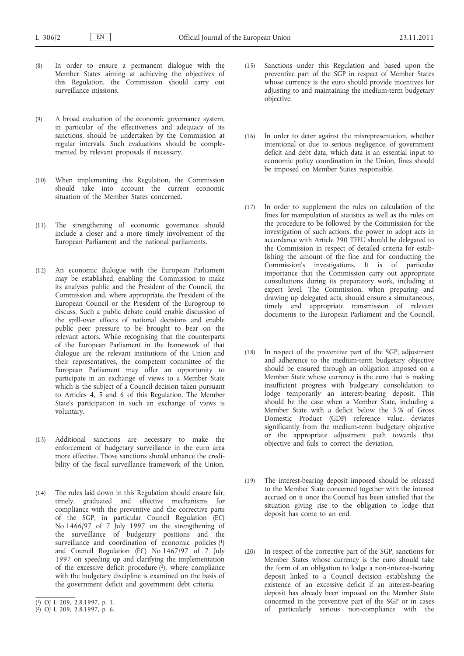- (8) In order to ensure a permanent dialogue with the Member States aiming at achieving the objectives of this Regulation, the Commission should carry out surveillance missions.
- (9) A broad evaluation of the economic governance system, in particular of the effectiveness and adequacy of its sanctions, should be undertaken by the Commission at regular intervals. Such evaluations should be complemented by relevant proposals if necessary.
- (10) When implementing this Regulation, the Commission should take into account the current economic situation of the Member States concerned.
- (11) The strengthening of economic governance should include a closer and a more timely involvement of the European Parliament and the national parliaments.
- (12) An economic dialogue with the European Parliament may be established, enabling the Commission to make its analyses public and the President of the Council, the Commission and, where appropriate, the President of the European Council or the President of the Eurogroup to discuss. Such a public debate could enable discussion of the spill-over effects of national decisions and enable public peer pressure to be brought to bear on the relevant actors. While recognising that the counterparts of the European Parliament in the framework of that dialogue are the relevant institutions of the Union and their representatives, the competent committee of the European Parliament may offer an opportunity to participate in an exchange of views to a Member State which is the subject of a Council decision taken pursuant to Articles 4, 5 and 6 of this Regulation. The Member State's participation in such an exchange of views is voluntary.
- (13) Additional sanctions are necessary to make the enforcement of budgetary surveillance in the euro area more effective. Those sanctions should enhance the credibility of the fiscal surveillance framework of the Union.
- (14) The rules laid down in this Regulation should ensure fair, timely, graduated and effective mechanisms for compliance with the preventive and the corrective parts of the SGP, in particular Council Regulation (EC) No 1466/97 of 7 July 1997 on the strengthening of the surveillance of budgetary positions and the surveillance and coordination of economic policies (1) and Council Regulation (EC) No 1467/97 of 7 July 1997 on speeding up and clarifying the implementation of the excessive deficit procedure  $(2)$ , where compliance with the budgetary discipline is examined on the basis of the government deficit and government debt criteria.
- (15) Sanctions under this Regulation and based upon the preventive part of the SGP in respect of Member States whose currency is the euro should provide incentives for adjusting to and maintaining the medium-term budgetary objective.
- (16) In order to deter against the misrepresentation, whether intentional or due to serious negligence, of government deficit and debt data, which data is an essential input to economic policy coordination in the Union, fines should be imposed on Member States responsible.
- (17) In order to supplement the rules on calculation of the fines for manipulation of statistics as well as the rules on the procedure to be followed by the Commission for the investigation of such actions, the power to adopt acts in accordance with Article 290 TFEU should be delegated to the Commission in respect of detailed criteria for establishing the amount of the fine and for conducting the Commission's investigations. It is of particular importance that the Commission carry out appropriate consultations during its preparatory work, including at expert level. The Commission, when preparing and drawing up delegated acts, should ensure a simultaneous, timely and appropriate transmission of relevant documents to the European Parliament and the Council.
- (18) In respect of the preventive part of the SGP, adjustment and adherence to the medium-term budgetary objective should be ensured through an obligation imposed on a Member State whose currency is the euro that is making insufficient progress with budgetary consolidation to lodge temporarily an interest-bearing deposit. This should be the case when a Member State, including a Member State with a deficit below the 3 % of Gross Domestic Product (GDP) reference value, deviates significantly from the medium-term budgetary objective or the appropriate adjustment path towards that objective and fails to correct the deviation.
- (19) The interest-bearing deposit imposed should be released to the Member State concerned together with the interest accrued on it once the Council has been satisfied that the situation giving rise to the obligation to lodge that deposit has come to an end.
- (20) In respect of the corrective part of the SGP, sanctions for Member States whose currency is the euro should take the form of an obligation to lodge a non-interest-bearing deposit linked to a Council decision establishing the existence of an excessive deficit if an interest-bearing deposit has already been imposed on the Member State concerned in the preventive part of the SGP or in cases of particularly serious non-compliance with the

<sup>(</sup> 1) OJ L 209, 2.8.1997, p. 1.

<sup>(</sup> 2) OJ L 209, 2.8.1997, p. 6.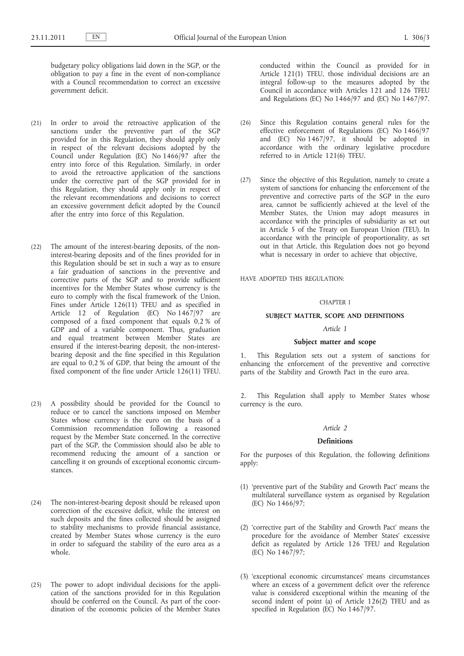budgetary policy obligations laid down in the SGP, or the obligation to pay a fine in the event of non-compliance with a Council recommendation to correct an excessive government deficit.

- (21) In order to avoid the retroactive application of the sanctions under the preventive part of the SGP provided for in this Regulation, they should apply only in respect of the relevant decisions adopted by the Council under Regulation (EC) No 1466/97 after the entry into force of this Regulation. Similarly, in order to avoid the retroactive application of the sanctions under the corrective part of the SGP provided for in this Regulation, they should apply only in respect of the relevant recommendations and decisions to correct an excessive government deficit adopted by the Council after the entry into force of this Regulation.
- (22) The amount of the interest-bearing deposits, of the noninterest-bearing deposits and of the fines provided for in this Regulation should be set in such a way as to ensure a fair graduation of sanctions in the preventive and corrective parts of the SGP and to provide sufficient incentives for the Member States whose currency is the euro to comply with the fiscal framework of the Union. Fines under Article 126(11) TFEU and as specified in Article 12 of Regulation (EC) No 1467/97 are composed of a fixed component that equals 0,2 % of GDP and of a variable component. Thus, graduation and equal treatment between Member States are ensured if the interest-bearing deposit, the non-interestbearing deposit and the fine specified in this Regulation are equal to 0,2 % of GDP, that being the amount of the fixed component of the fine under Article 126(11) TFEU.
- (23) A possibility should be provided for the Council to reduce or to cancel the sanctions imposed on Member States whose currency is the euro on the basis of a Commission recommendation following a reasoned request by the Member State concerned. In the corrective part of the SGP, the Commission should also be able to recommend reducing the amount of a sanction or cancelling it on grounds of exceptional economic circumstances.
- (24) The non-interest-bearing deposit should be released upon correction of the excessive deficit, while the interest on such deposits and the fines collected should be assigned to stability mechanisms to provide financial assistance, created by Member States whose currency is the euro in order to safeguard the stability of the euro area as a whole.
- (25) The power to adopt individual decisions for the application of the sanctions provided for in this Regulation should be conferred on the Council. As part of the coordination of the economic policies of the Member States

conducted within the Council as provided for in Article 121(1) TFEU, those individual decisions are an integral follow-up to the measures adopted by the Council in accordance with Articles 121 and 126 TFEU and Regulations (EC) No 1466/97 and (EC) No 1467/97.

- (26) Since this Regulation contains general rules for the effective enforcement of Regulations (EC) No 1466/97 and (EC) No 1467/97, it should be adopted in accordance with the ordinary legislative procedure referred to in Article 121(6) TFEU.
- (27) Since the objective of this Regulation, namely to create a system of sanctions for enhancing the enforcement of the preventive and corrective parts of the SGP in the euro area, cannot be sufficiently achieved at the level of the Member States, the Union may adopt measures in accordance with the principles of subsidiarity as set out in Article 5 of the Treaty on European Union (TEU). In accordance with the principle of proportionality, as set out in that Article, this Regulation does not go beyond what is necessary in order to achieve that objective,

HAVE ADOPTED THIS REGULATION:

## CHAPTER I

#### **SUBJECT MATTER, SCOPE AND DEFINITIONS**

## *Article 1*

#### **Subject matter and scope**

1. This Regulation sets out a system of sanctions for enhancing the enforcement of the preventive and corrective parts of the Stability and Growth Pact in the euro area.

2. This Regulation shall apply to Member States whose currency is the euro.

#### *Article 2*

#### **Definitions**

For the purposes of this Regulation, the following definitions apply:

- (1) 'preventive part of the Stability and Growth Pact' means the multilateral surveillance system as organised by Regulation (EC) No 1466/97;
- (2) 'corrective part of the Stability and Growth Pact' means the procedure for the avoidance of Member States' excessive deficit as regulated by Article 126 TFEU and Regulation (EC) No 1467/97;
- (3) 'exceptional economic circumstances' means circumstances where an excess of a government deficit over the reference value is considered exceptional within the meaning of the second indent of point (a) of Article 126(2) TFEU and as specified in Regulation (EC) No 1467/97.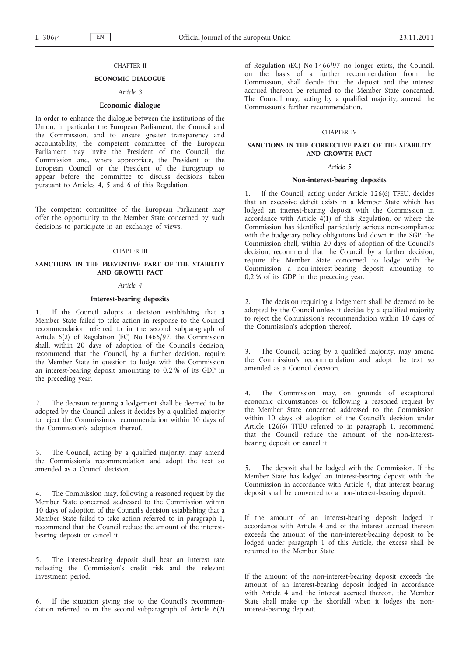## CHAPTER II

## **ECONOMIC DIALOGUE**

## *Article 3*

## **Economic dialogue**

In order to enhance the dialogue between the institutions of the Union, in particular the European Parliament, the Council and the Commission, and to ensure greater transparency and accountability, the competent committee of the European Parliament may invite the President of the Council, the Commission and, where appropriate, the President of the European Council or the President of the Eurogroup to appear before the committee to discuss decisions taken pursuant to Articles 4, 5 and 6 of this Regulation.

The competent committee of the European Parliament may offer the opportunity to the Member State concerned by such decisions to participate in an exchange of views.

#### CHAPTER III

## **SANCTIONS IN THE PREVENTIVE PART OF THE STABILITY AND GROWTH PACT**

#### *Article 4*

#### **Interest-bearing deposits**

1. If the Council adopts a decision establishing that a Member State failed to take action in response to the Council recommendation referred to in the second subparagraph of Article 6(2) of Regulation (EC) No 1466/97, the Commission shall, within 20 days of adoption of the Council's decision, recommend that the Council, by a further decision, require the Member State in question to lodge with the Commission an interest-bearing deposit amounting to 0,2 % of its GDP in the preceding year.

2. The decision requiring a lodgement shall be deemed to be adopted by the Council unless it decides by a qualified majority to reject the Commission's recommendation within 10 days of the Commission's adoption thereof.

3. The Council, acting by a qualified majority, may amend the Commission's recommendation and adopt the text so amended as a Council decision.

4. The Commission may, following a reasoned request by the Member State concerned addressed to the Commission within 10 days of adoption of the Council's decision establishing that a Member State failed to take action referred to in paragraph 1, recommend that the Council reduce the amount of the interestbearing deposit or cancel it.

5. The interest-bearing deposit shall bear an interest rate reflecting the Commission's credit risk and the relevant investment period.

6. If the situation giving rise to the Council's recommendation referred to in the second subparagraph of Article 6(2) of Regulation (EC) No 1466/97 no longer exists, the Council, on the basis of a further recommendation from the Commission, shall decide that the deposit and the interest accrued thereon be returned to the Member State concerned. The Council may, acting by a qualified majority, amend the Commission's further recommendation.

## CHAPTER IV

## **SANCTIONS IN THE CORRECTIVE PART OF THE STABILITY AND GROWTH PACT**

## *Article 5*

#### **Non-interest-bearing deposits**

1. If the Council, acting under Article 126(6) TFEU, decides that an excessive deficit exists in a Member State which has lodged an interest-bearing deposit with the Commission in accordance with Article  $4(1)$  of this Regulation, or where the Commission has identified particularly serious non-compliance with the budgetary policy obligations laid down in the SGP, the Commission shall, within 20 days of adoption of the Council's decision, recommend that the Council, by a further decision, require the Member State concerned to lodge with the Commission a non-interest-bearing deposit amounting to 0,2 % of its GDP in the preceding year.

2. The decision requiring a lodgement shall be deemed to be adopted by the Council unless it decides by a qualified majority to reject the Commission's recommendation within 10 days of the Commission's adoption thereof.

3. The Council, acting by a qualified majority, may amend the Commission's recommendation and adopt the text so amended as a Council decision.

The Commission may, on grounds of exceptional economic circumstances or following a reasoned request by the Member State concerned addressed to the Commission within 10 days of adoption of the Council's decision under Article 126(6) TFEU referred to in paragraph 1, recommend that the Council reduce the amount of the non-interestbearing deposit or cancel it.

5. The deposit shall be lodged with the Commission. If the Member State has lodged an interest-bearing deposit with the Commission in accordance with Article 4, that interest-bearing deposit shall be converted to a non-interest-bearing deposit.

If the amount of an interest-bearing deposit lodged in accordance with Article 4 and of the interest accrued thereon exceeds the amount of the non-interest-bearing deposit to be lodged under paragraph 1 of this Article, the excess shall be returned to the Member State.

If the amount of the non-interest-bearing deposit exceeds the amount of an interest-bearing deposit lodged in accordance with Article 4 and the interest accrued thereon, the Member State shall make up the shortfall when it lodges the noninterest-bearing deposit.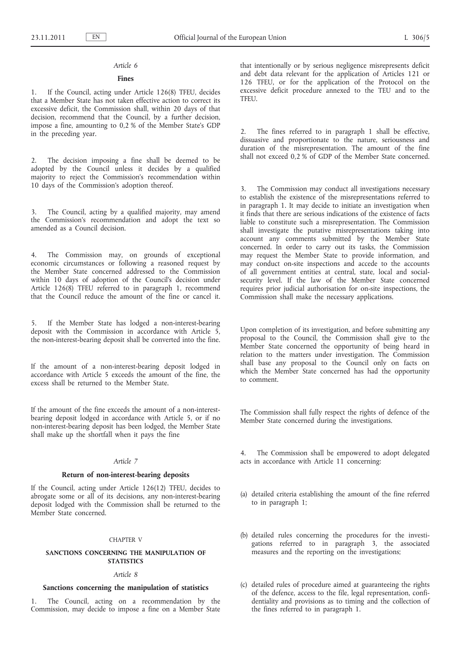#### *Article 6*

#### **Fines**

1. If the Council, acting under Article 126(8) TFEU, decides that a Member State has not taken effective action to correct its excessive deficit, the Commission shall, within 20 days of that decision, recommend that the Council, by a further decision, impose a fine, amounting to 0,2 % of the Member State's GDP in the preceding year.

The decision imposing a fine shall be deemed to be adopted by the Council unless it decides by a qualified majority to reject the Commission's recommendation within 10 days of the Commission's adoption thereof.

3. The Council, acting by a qualified majority, may amend the Commission's recommendation and adopt the text so amended as a Council decision.

4. The Commission may, on grounds of exceptional economic circumstances or following a reasoned request by the Member State concerned addressed to the Commission within 10 days of adoption of the Council's decision under Article 126(8) TFEU referred to in paragraph 1, recommend that the Council reduce the amount of the fine or cancel it.

5. If the Member State has lodged a non-interest-bearing deposit with the Commission in accordance with Article 5, the non-interest-bearing deposit shall be converted into the fine.

If the amount of a non-interest-bearing deposit lodged in accordance with Article 5 exceeds the amount of the fine, the excess shall be returned to the Member State.

If the amount of the fine exceeds the amount of a non-interestbearing deposit lodged in accordance with Article 5, or if no non-interest-bearing deposit has been lodged, the Member State shall make up the shortfall when it pays the fine

#### *Article 7*

#### **Return of non-interest-bearing deposits**

If the Council, acting under Article 126(12) TFEU, decides to abrogate some or all of its decisions, any non-interest-bearing deposit lodged with the Commission shall be returned to the Member State concerned.

#### CHAPTER V

## **SANCTIONS CONCERNING THE MANIPULATION OF STATISTICS**

## *Article 8*

## **Sanctions concerning the manipulation of statistics**

1. The Council, acting on a recommendation by the Commission, may decide to impose a fine on a Member State that intentionally or by serious negligence misrepresents deficit and debt data relevant for the application of Articles 121 or 126 TFEU, or for the application of the Protocol on the excessive deficit procedure annexed to the TEU and to the TFEU.

2. The fines referred to in paragraph 1 shall be effective, dissuasive and proportionate to the nature, seriousness and duration of the misrepresentation. The amount of the fine shall not exceed 0,2 % of GDP of the Member State concerned.

3. The Commission may conduct all investigations necessary to establish the existence of the misrepresentations referred to in paragraph 1. It may decide to initiate an investigation when it finds that there are serious indications of the existence of facts liable to constitute such a misrepresentation. The Commission shall investigate the putative misrepresentations taking into account any comments submitted by the Member State concerned. In order to carry out its tasks, the Commission may request the Member State to provide information, and may conduct on-site inspections and accede to the accounts of all government entities at central, state, local and socialsecurity level. If the law of the Member State concerned requires prior judicial authorisation for on-site inspections, the Commission shall make the necessary applications.

Upon completion of its investigation, and before submitting any proposal to the Council, the Commission shall give to the Member State concerned the opportunity of being heard in relation to the matters under investigation. The Commission shall base any proposal to the Council only on facts on which the Member State concerned has had the opportunity to comment.

The Commission shall fully respect the rights of defence of the Member State concerned during the investigations.

4. The Commission shall be empowered to adopt delegated acts in accordance with Article 11 concerning:

- (a) detailed criteria establishing the amount of the fine referred to in paragraph 1;
- (b) detailed rules concerning the procedures for the investigations referred to in paragraph 3, the associated measures and the reporting on the investigations;
- (c) detailed rules of procedure aimed at guaranteeing the rights of the defence, access to the file, legal representation, confidentiality and provisions as to timing and the collection of the fines referred to in paragraph 1.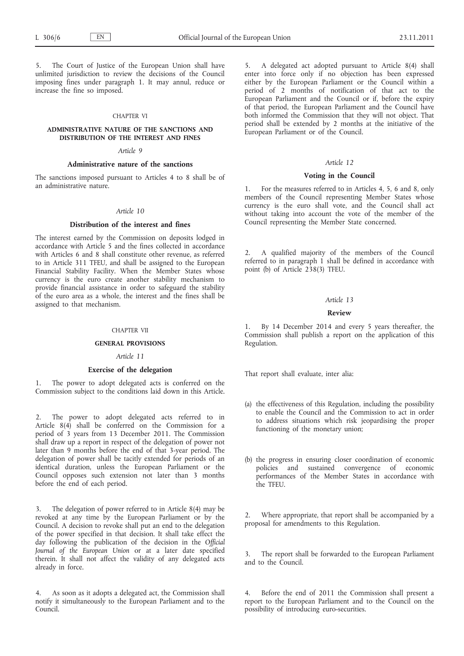The Court of Justice of the European Union shall have unlimited jurisdiction to review the decisions of the Council imposing fines under paragraph 1. It may annul, reduce or increase the fine so imposed.

## CHAPTER VI

#### **ADMINISTRATIVE NATURE OF THE SANCTIONS AND DISTRIBUTION OF THE INTEREST AND FINES**

#### *Article 9*

## **Administrative nature of the sanctions**

The sanctions imposed pursuant to Articles 4 to 8 shall be of an administrative nature.

## *Article 10*

#### **Distribution of the interest and fines**

The interest earned by the Commission on deposits lodged in accordance with Article 5 and the fines collected in accordance with Articles 6 and 8 shall constitute other revenue, as referred to in Article 311 TFEU, and shall be assigned to the European Financial Stability Facility. When the Member States whose currency is the euro create another stability mechanism to provide financial assistance in order to safeguard the stability of the euro area as a whole, the interest and the fines shall be assigned to that mechanism.

#### CHAPTER VII

#### **GENERAL PROVISIONS**

#### *Article 11*

#### **Exercise of the delegation**

1. The power to adopt delegated acts is conferred on the Commission subject to the conditions laid down in this Article.

2. The power to adopt delegated acts referred to in Article 8(4) shall be conferred on the Commission for a period of 3 years from 13 December 2011. The Commission shall draw up a report in respect of the delegation of power not later than 9 months before the end of that 3-year period. The delegation of power shall be tacitly extended for periods of an identical duration, unless the European Parliament or the Council opposes such extension not later than 3 months before the end of each period.

The delegation of power referred to in Article 8(4) may be revoked at any time by the European Parliament or by the Council. A decision to revoke shall put an end to the delegation of the power specified in that decision. It shall take effect the day following the publication of the decision in the *Official Journal of the European Union* or at a later date specified therein. It shall not affect the validity of any delegated acts already in force.

4. As soon as it adopts a delegated act, the Commission shall notify it simultaneously to the European Parliament and to the Council.

5. A delegated act adopted pursuant to Article 8(4) shall enter into force only if no objection has been expressed either by the European Parliament or the Council within a period of 2 months of notification of that act to the European Parliament and the Council or if, before the expiry of that period, the European Parliament and the Council have both informed the Commission that they will not object. That period shall be extended by 2 months at the initiative of the European Parliament or of the Council.

## *Article 12*

## **Voting in the Council**

1. For the measures referred to in Articles 4, 5, 6 and 8, only members of the Council representing Member States whose currency is the euro shall vote, and the Council shall act without taking into account the vote of the member of the Council representing the Member State concerned.

2. A qualified majority of the members of the Council referred to in paragraph 1 shall be defined in accordance with point (b) of Article 238(3) TFEU.

#### *Article 13*

#### **Review**

By 14 December 2014 and every 5 years thereafter, the Commission shall publish a report on the application of this Regulation.

That report shall evaluate, inter alia:

- (a) the effectiveness of this Regulation, including the possibility to enable the Council and the Commission to act in order to address situations which risk jeopardising the proper functioning of the monetary union;
- (b) the progress in ensuring closer coordination of economic policies and sustained convergence of economic performances of the Member States in accordance with the TFEU.

2. Where appropriate, that report shall be accompanied by a proposal for amendments to this Regulation.

3. The report shall be forwarded to the European Parliament and to the Council.

4. Before the end of 2011 the Commission shall present a report to the European Parliament and to the Council on the possibility of introducing euro-securities.